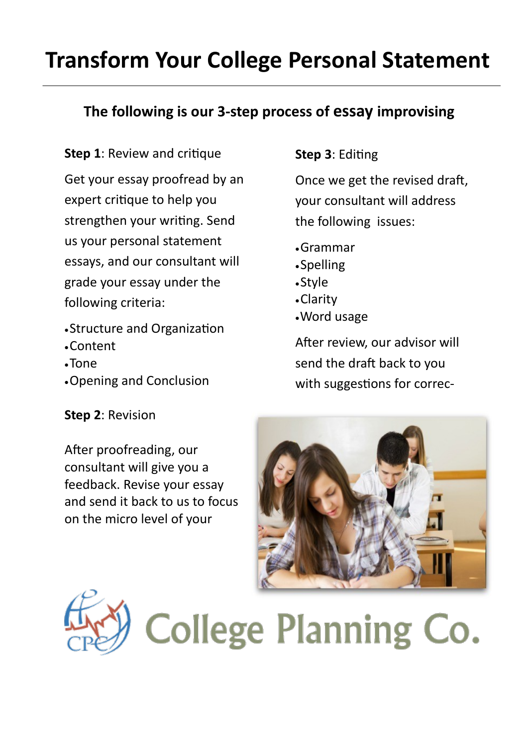## **Transform Your College Personal Statement**

### **The following is our 3-step process of essay improvising**

**Step 1: Review and critique** Get your essay proofread by an expert critique to help you strengthen your writing. Send us your personal statement essays, and our consultant will grade your essay under the following criteria:

- Structure and Organization
- Content
- Tone
- Opening and Conclusion

#### **Step 2**: Revision

After proofreading, our consultant will give you a feedback. Revise your essay and send it back to us to focus on the micro level of your

### **Step 3**: Editing

Once we get the revised draft, your consultant will address the following issues:

- Grammar
- Spelling
- Style
- Clarity
- Word usage

After review, our advisor will send the draft back to you with suggestions for correc-





# **College Planning Co.**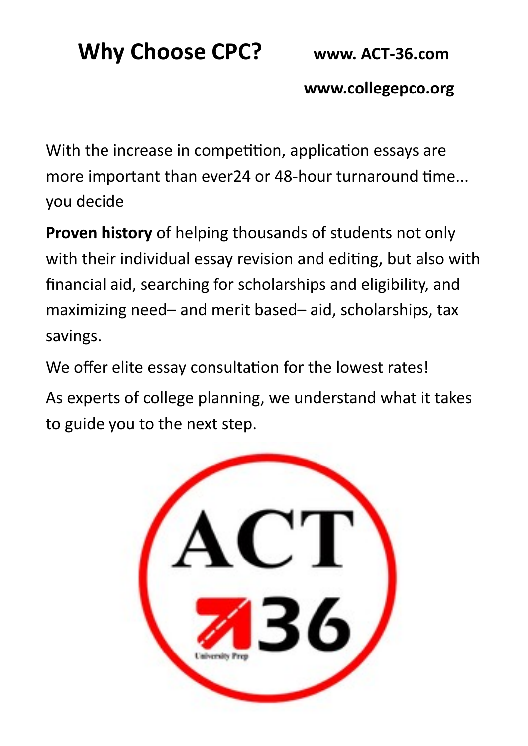## **Why Choose CPC? www. ACT-36.com**

 **www.collegepco.org**

With the increase in competition, application essays are more important than ever24 or 48-hour turnaround time... you decide

**Proven history** of helping thousands of students not only with their individual essay revision and editing, but also with financial aid, searching for scholarships and eligibility, and maximizing need– and merit based– aid, scholarships, tax savings.

We offer elite essay consultation for the lowest rates!

As experts of college planning, we understand what it takes to guide you to the next step.

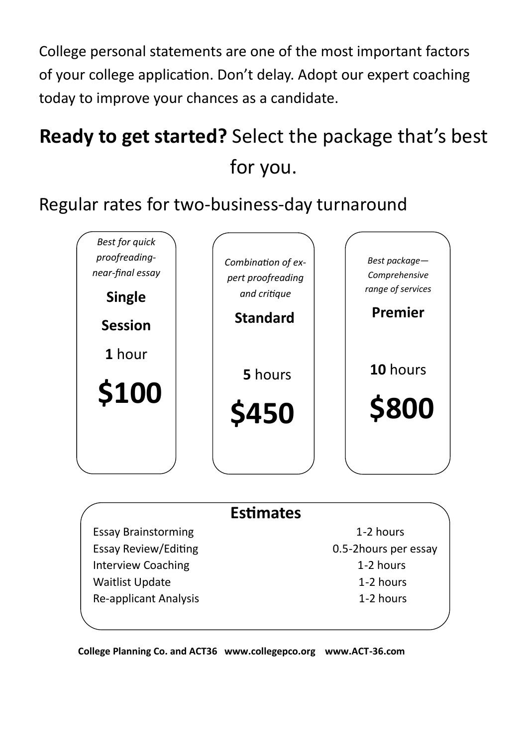College personal statements are one of the most important factors of your college application. Don't delay. Adopt our expert coaching today to improve your chances as a candidate.

## **Ready to get started?** Select the package that's best for you.

### Regular rates for two-business-day turnaround



### **Estimates**

Essay Brainstorming 1-2 hours Essay Review/Editing 0.5-2hours per essay Interview Coaching **1-2 hours** Waitlist Update 1-2 hours Re-applicant Analysis 1-2 hours

**College Planning Co. and ACT36 www.collegepco.org www.ACT-36.com**